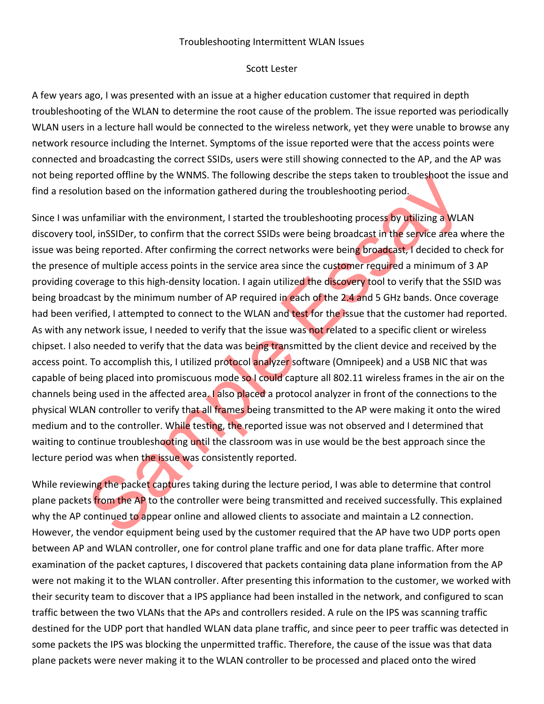## Troubleshooting Intermittent WLAN Issues

## Scott Lester

A few years ago, I was presented with an issue at a higher education customer that required in depth troubleshooting of the WLAN to determine the root cause of the problem. The issue reported was periodically WLAN users in a lecture hall would be connected to the wireless network, yet they were unable to browse any network resource including the Internet. Symptoms of the issue reported were that the access points were connected and broadcasting the correct SSIDs, users were still showing connected to the AP, and the AP was not being reported offline by the WNMS. The following describe the steps taken to troubleshoot the issue and find a resolution based on the information gathered during the troubleshooting period.

ported omine by the WWMS. The following describe the steps taken to troubleshoot the<br>tion based on the information gathered druing the troubleshooting period,<br>infamiliar with the environment, I started the troubleshooting Since I was unfamiliar with the environment, I started the troubleshooting process by utilizing a WLAN discovery tool, inSSIDer, to confirm that the correct SSIDs were being broadcast in the service area where the issue was being reported. After confirming the correct networks were being broadcast, I decided to check for the presence of multiple access points in the service area since the customer required a minimum of 3 AP providing coverage to this high-density location. I again utilized the discovery tool to verify that the SSID was being broadcast by the minimum number of AP required in each of the 2.4 and 5 GHz bands. Once coverage had been verified, I attempted to connect to the WLAN and test for the issue that the customer had reported. As with any network issue, I needed to verify that the issue was not related to a specific client or wireless chipset. I also needed to verify that the data was being transmitted by the client device and received by the access point. To accomplish this, I utilized protocol analyzer software (Omnipeek) and a USB NIC that was capable of being placed into promiscuous mode so I could capture all 802.11 wireless frames in the air on the channels being used in the affected area. I also placed a protocol analyzer in front of the connections to the physical WLAN controller to verify that all frames being transmitted to the AP were making it onto the wired medium and to the controller. While testing, the reported issue was not observed and I determined that waiting to continue troubleshooting until the classroom was in use would be the best approach since the lecture period was when the issue was consistently reported.

While reviewing the packet captures taking during the lecture period, I was able to determine that control plane packets from the AP to the controller were being transmitted and received successfully. This explained why the AP continued to appear online and allowed clients to associate and maintain a L2 connection. However, the vendor equipment being used by the customer required that the AP have two UDP ports open between AP and WLAN controller, one for control plane traffic and one for data plane traffic. After more examination of the packet captures, I discovered that packets containing data plane information from the AP were not making it to the WLAN controller. After presenting this information to the customer, we worked with their security team to discover that a IPS appliance had been installed in the network, and configured to scan traffic between the two VLANs that the APs and controllers resided. A rule on the IPS was scanning traffic destined for the UDP port that handled WLAN data plane traffic, and since peer to peer traffic was detected in some packets the IPS was blocking the unpermitted traffic. Therefore, the cause of the issue was that data plane packets were never making it to the WLAN controller to be processed and placed onto the wired